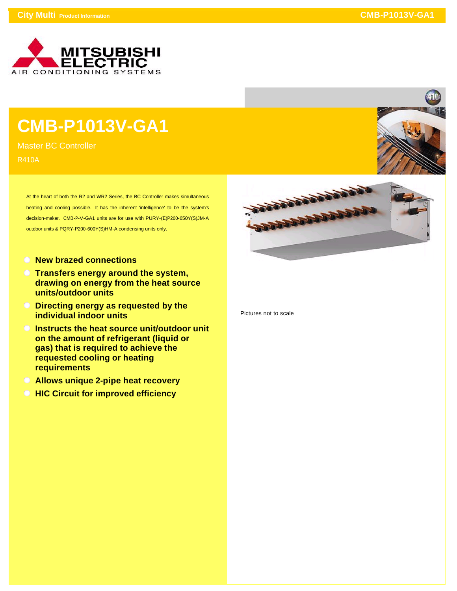

## **CMB-P1013V-GA1**

Master BC Controller R410A

> At the heart of both the R2 and WR2 Series, the BC Controller makes simultaneous heating and cooling possible. It has the inherent 'intelligence' to be the system's decision-maker. CMB-P-V-GA1 units are for use with PURY-(E)P200-650Y(S)JM-A outdoor units & PQRY-P200-600Y(S)HM-A condensing units only.

- **New brazed connections**
- **Transfers energy around the system, drawing on energy from the heat source units/outdoor units**
- **Directing energy as requested by the individual indoor units**
- **Instructs the heat source unit/outdoor unit on the amount of refrigerant (liquid or gas) that is required to achieve the requested cooling or heating requirements**
- **Allows unique 2-pipe heat recovery**
- **HIC Circuit for improved efficiency**





Pictures not to scale